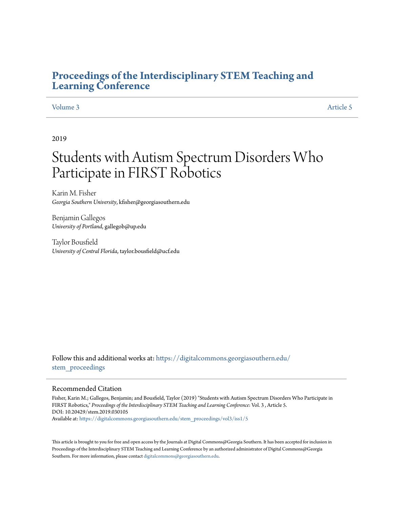# **[Proceedings of the Interdisciplinary STEM Teaching and](https://digitalcommons.georgiasouthern.edu/stem_proceedings?utm_source=digitalcommons.georgiasouthern.edu%2Fstem_proceedings%2Fvol3%2Fiss1%2F5&utm_medium=PDF&utm_campaign=PDFCoverPages) [Learning Conference](https://digitalcommons.georgiasouthern.edu/stem_proceedings?utm_source=digitalcommons.georgiasouthern.edu%2Fstem_proceedings%2Fvol3%2Fiss1%2F5&utm_medium=PDF&utm_campaign=PDFCoverPages)**

#### [Volume 3](https://digitalcommons.georgiasouthern.edu/stem_proceedings/vol3?utm_source=digitalcommons.georgiasouthern.edu%2Fstem_proceedings%2Fvol3%2Fiss1%2F5&utm_medium=PDF&utm_campaign=PDFCoverPages) [Article 5](https://digitalcommons.georgiasouthern.edu/stem_proceedings/vol3/iss1/5?utm_source=digitalcommons.georgiasouthern.edu%2Fstem_proceedings%2Fvol3%2Fiss1%2F5&utm_medium=PDF&utm_campaign=PDFCoverPages)

#### 2019

# Students with Autism Spectrum Disorders Who Participate in FIRST Robotics

Karin M. Fisher *Georgia Southern University*, kfisher@georgiasouthern.edu

Benjamin Gallegos *University of Portland*, gallegob@up.edu

Taylor Bousfield *University of Central Florida*, taylor.bousfield@ucf.edu

Follow this and additional works at: [https://digitalcommons.georgiasouthern.edu/](https://digitalcommons.georgiasouthern.edu/stem_proceedings?utm_source=digitalcommons.georgiasouthern.edu%2Fstem_proceedings%2Fvol3%2Fiss1%2F5&utm_medium=PDF&utm_campaign=PDFCoverPages) stem proceedings

#### Recommended Citation

Fisher, Karin M.; Gallegos, Benjamin; and Bousfield, Taylor (2019) "Students with Autism Spectrum Disorders Who Participate in FIRST Robotics," *Proceedings of the Interdisciplinary STEM Teaching and Learning Conference*: Vol. 3 , Article 5. DOI: 10.20429/stem.2019.030105 Available at: [https://digitalcommons.georgiasouthern.edu/stem\\_proceedings/vol3/iss1/5](https://digitalcommons.georgiasouthern.edu/stem_proceedings/vol3/iss1/5?utm_source=digitalcommons.georgiasouthern.edu%2Fstem_proceedings%2Fvol3%2Fiss1%2F5&utm_medium=PDF&utm_campaign=PDFCoverPages)

This article is brought to you for free and open access by the Journals at Digital Commons@Georgia Southern. It has been accepted for inclusion in Proceedings of the Interdisciplinary STEM Teaching and Learning Conference by an authorized administrator of Digital Commons@Georgia Southern. For more information, please contact [digitalcommons@georgiasouthern.edu.](mailto:digitalcommons@georgiasouthern.edu)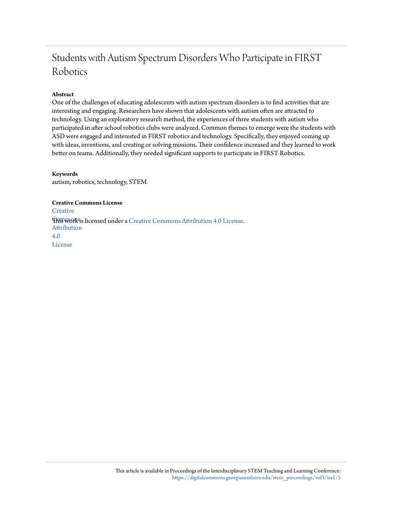# Students with Autism Spectrum Disorders Who Participate in FIRST Robotics

## **Abstract**

One of the challenges of educating adolescents with autism spectrum disorders is to find activities that are interesting and engaging. Researchers have shown that adolescents with autism often are attracted to technology. Using an exploratory research method, the experiences of three students with autism who participated in after school robotics clubs were analyzed. Common themes to emerge were the students with ASD were engaged and interested in FIRST robotics and technology. Specifically, they enjoyed coming up with ideas, inventions, and creating or solving missions. Their confidence increased and they learned to work better on teams. Additionally, they needed significant supports to participate in FIRST Robotics.

#### **Keywords**

autism, robotics, technology, STEM

**Creative Commons License [Creative](http://creativecommons.org/licenses/by/4.0/) Fhis work is licensed under a** [Creative Commons Attribution 4.0 License.](http://creativecommons.org/licenses/by/4.0/) Attribution 4.0 License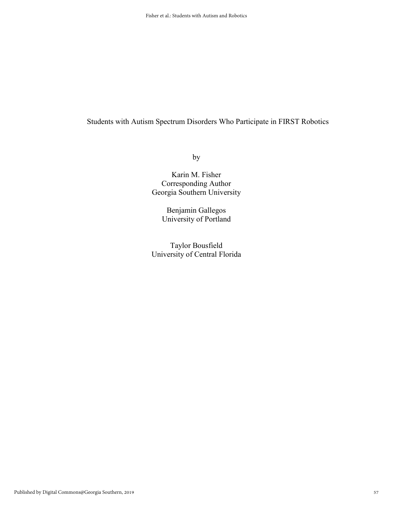# Students with Autism Spectrum Disorders Who Participate in FIRST Robotics

by

# Karin M. Fisher Corresponding Author Georgia Southern University

Benjamin Gallegos University of Portland

Taylor Bousfield University of Central Florida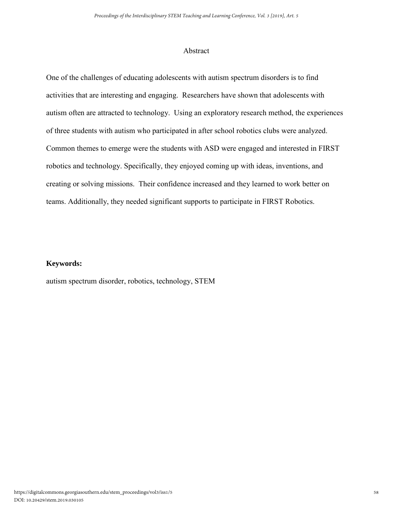## Abstract

One of the challenges of educating adolescents with autism spectrum disorders is to find activities that are interesting and engaging. Researchers have shown that adolescents with autism often are attracted to technology. Using an exploratory research method, the experiences of three students with autism who participated in after school robotics clubs were analyzed. Common themes to emerge were the students with ASD were engaged and interested in FIRST robotics and technology. Specifically, they enjoyed coming up with ideas, inventions, and creating or solving missions. Their confidence increased and they learned to work better on teams. Additionally, they needed significant supports to participate in FIRST Robotics.

# **Keywords:**

autism spectrum disorder, robotics, technology, STEM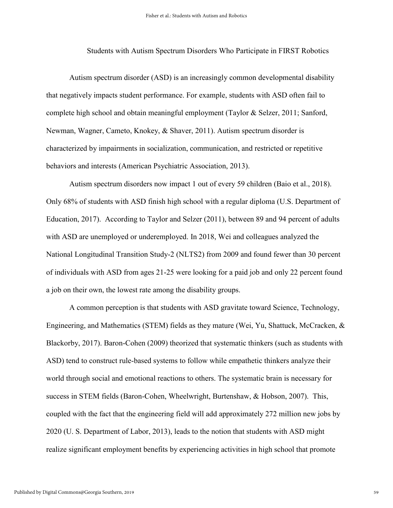Students with Autism Spectrum Disorders Who Participate in FIRST Robotics

Autism spectrum disorder (ASD) is an increasingly common developmental disability that negatively impacts student performance. For example, students with ASD often fail to complete high school and obtain meaningful employment (Taylor & Selzer, 2011; Sanford, Newman, Wagner, Cameto, Knokey, & Shaver, 2011). Autism spectrum disorder is characterized by impairments in socialization, communication, and restricted or repetitive behaviors and interests (American Psychiatric Association, 2013).

Autism spectrum disorders now impact 1 out of every 59 children (Baio et al., 2018). Only 68% of students with ASD finish high school with a regular diploma (U.S. Department of Education, 2017). According to Taylor and Selzer (2011), between 89 and 94 percent of adults with ASD are unemployed or underemployed. In 2018, Wei and colleagues analyzed the National Longitudinal Transition Study-2 (NLTS2) from 2009 and found fewer than 30 percent of individuals with ASD from ages 21-25 were looking for a paid job and only 22 percent found a job on their own, the lowest rate among the disability groups.

A common perception is that students with ASD gravitate toward Science, Technology, Engineering, and Mathematics (STEM) fields as they mature (Wei, Yu, Shattuck, McCracken, & Blackorby, 2017). Baron-Cohen (2009) theorized that systematic thinkers (such as students with ASD) tend to construct rule-based systems to follow while empathetic thinkers analyze their world through social and emotional reactions to others. The systematic brain is necessary for success in STEM fields (Baron-Cohen, Wheelwright, Burtenshaw, & Hobson, 2007). This, coupled with the fact that the engineering field will add approximately 272 million new jobs by 2020 (U. S. Department of Labor, 2013), leads to the notion that students with ASD might realize significant employment benefits by experiencing activities in high school that promote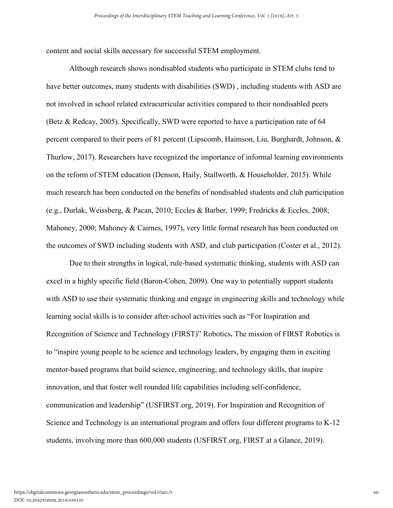content and social skills necessary for successful STEM employment.

Although research shows nondisabled students who participate in STEM clubs tend to have better outcomes, many students with disabilities (SWD), including students with ASD are not involved in school related extracurricular activities compared to their nondisabled peers (Betz & Redcay, 2005). Specifically, SWD were reported to have a participation rate of 64 percent compared to their peers of 81 percent (Lipscomb, Haimson, Liu, Burghardt, Johnson, & Thurlow, 2017). Researchers have recognized the importance of informal learning environments on the reform of STEM education (Denson, Haily, Stallworth, & Householder, 2015). While much research has been conducted on the benefits of nondisabled students and club participation (e.g., Durlak, Weissberg, & Pacan, 2010; Eccles & Barber, 1999; Fredricks & Eccles, 2008; Mahoney, 2000; Mahoney & Cairnes, 1997), very little formal research has been conducted on the outcomes of SWD including students with ASD, and club participation (Coster et al., 2012).

Due to their strengths in logical, rule-based systematic thinking, students with ASD can excel in a highly specific field (Baron-Cohen, 2009). One way to potentially support students with ASD to use their systematic thinking and engage in engineering skills and technology while learning social skills is to consider after-school activities such as "For Inspiration and Recognition of Science and Technology (FIRST)" Robotics**.** The mission of FIRST Robotics is to "inspire young people to be science and technology leaders, by engaging them in exciting mentor-based programs that build science, engineering, and technology skills, that inspire innovation, and that foster well rounded life capabilities including self-confidence, communication and leadership" (USFIRST.org, 2019). For Inspiration and Recognition of Science and Technology is an international program and offers four different programs to K-12 students, involving more than 600,000 students (USFIRST.org, FIRST at a Glance, 2019).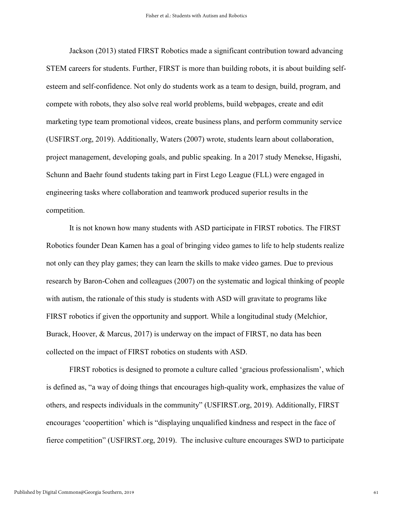Jackson (2013) stated FIRST Robotics made a significant contribution toward advancing STEM careers for students. Further, FIRST is more than building robots, it is about building selfesteem and self-confidence. Not only do students work as a team to design, build, program, and compete with robots, they also solve real world problems, build webpages, create and edit marketing type team promotional videos, create business plans, and perform community service (USFIRST.org, 2019). Additionally, Waters (2007) wrote, students learn about collaboration, project management, developing goals, and public speaking. In a 2017 study Menekse, Higashi, Schunn and Baehr found students taking part in First Lego League (FLL) were engaged in engineering tasks where collaboration and teamwork produced superior results in the competition.

It is not known how many students with ASD participate in FIRST robotics. The FIRST Robotics founder Dean Kamen has a goal of bringing video games to life to help students realize not only can they play games; they can learn the skills to make video games. Due to previous research by Baron-Cohen and colleagues (2007) on the systematic and logical thinking of people with autism, the rationale of this study is students with ASD will gravitate to programs like FIRST robotics if given the opportunity and support. While a longitudinal study (Melchior, Burack, Hoover, & Marcus, 2017) is underway on the impact of FIRST, no data has been collected on the impact of FIRST robotics on students with ASD.

FIRST robotics is designed to promote a culture called 'gracious professionalism', which is defined as, "a way of doing things that encourages high-quality work, emphasizes the value of others, and respects individuals in the community" (USFIRST.org, 2019). Additionally, FIRST encourages 'coopertition' which is "displaying unqualified kindness and respect in the face of fierce competition" (USFIRST.org, 2019). The inclusive culture encourages SWD to participate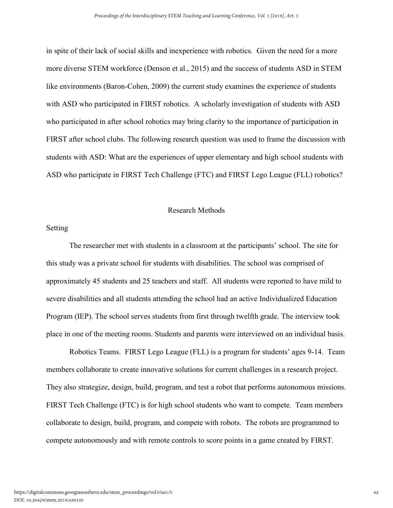in spite of their lack of social skills and inexperience with robotics. Given the need for a more more diverse STEM workforce (Denson et al., 2015) and the success of students ASD in STEM like environments (Baron-Cohen, 2009) the current study examines the experience of students with ASD who participated in FIRST robotics. A scholarly investigation of students with ASD who participated in after school robotics may bring clarity to the importance of participation in FIRST after school clubs. The following research question was used to frame the discussion with students with ASD: What are the experiences of upper elementary and high school students with ASD who participate in FIRST Tech Challenge (FTC) and FIRST Lego League (FLL) robotics?

#### Research Methods

### Setting

The researcher met with students in a classroom at the participants' school. The site for this study was a private school for students with disabilities. The school was comprised of approximately 45 students and 25 teachers and staff. All students were reported to have mild to severe disabilities and all students attending the school had an active Individualized Education Program (IEP). The school serves students from first through twelfth grade. The interview took place in one of the meeting rooms. Students and parents were interviewed on an individual basis.

Robotics Teams. FIRST Lego League (FLL) is a program for students' ages 9-14. Team members collaborate to create innovative solutions for current challenges in a research project. They also strategize, design, build, program, and test a robot that performs autonomous missions. FIRST Tech Challenge (FTC) is for high school students who want to compete. Team members collaborate to design, build, program, and compete with robots. The robots are programmed to compete autonomously and with remote controls to score points in a game created by FIRST.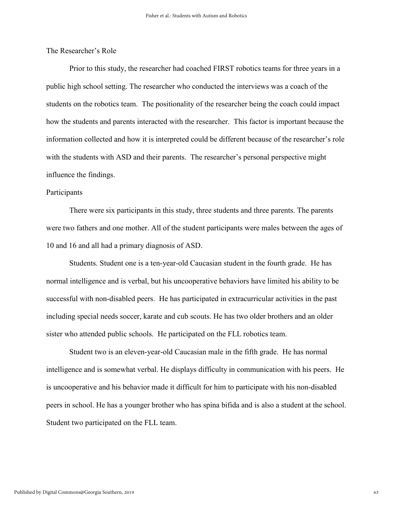The Researcher's Role

Prior to this study, the researcher had coached FIRST robotics teams for three years in a public high school setting. The researcher who conducted the interviews was a coach of the students on the robotics team. The positionality of the researcher being the coach could impact how the students and parents interacted with the researcher. This factor is important because the information collected and how it is interpreted could be different because of the researcher's role with the students with ASD and their parents. The researcher's personal perspective might influence the findings.

# Participants

There were six participants in this study, three students and three parents. The parents were two fathers and one mother. All of the student participants were males between the ages of 10 and 16 and all had a primary diagnosis of ASD.

Students. Student one is a ten-year-old Caucasian student in the fourth grade. He has normal intelligence and is verbal, but his uncooperative behaviors have limited his ability to be successful with non-disabled peers. He has participated in extracurricular activities in the past including special needs soccer, karate and cub scouts. He has two older brothers and an older sister who attended public schools. He participated on the FLL robotics team.

Student two is an eleven-year-old Caucasian male in the fifth grade. He has normal intelligence and is somewhat verbal. He displays difficulty in communication with his peers. He is uncooperative and his behavior made it difficult for him to participate with his non-disabled peers in school. He has a younger brother who has spina bifida and is also a student at the school. Student two participated on the FLL team.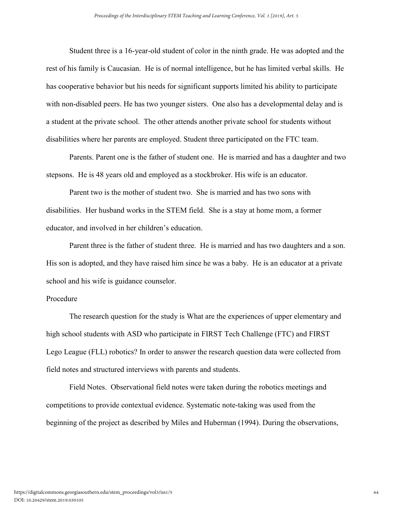Student three is a 16-year-old student of color in the ninth grade. He was adopted and the rest of his family is Caucasian. He is of normal intelligence, but he has limited verbal skills. He has cooperative behavior but his needs for significant supports limited his ability to participate with non-disabled peers. He has two younger sisters. One also has a developmental delay and is a student at the private school. The other attends another private school for students without disabilities where her parents are employed. Student three participated on the FTC team.

Parents. Parent one is the father of student one. He is married and has a daughter and two stepsons. He is 48 years old and employed as a stockbroker. His wife is an educator.

Parent two is the mother of student two. She is married and has two sons with disabilities. Her husband works in the STEM field. She is a stay at home mom, a former educator, and involved in her children's education.

Parent three is the father of student three. He is married and has two daughters and a son. His son is adopted, and they have raised him since he was a baby. He is an educator at a private school and his wife is guidance counselor.

#### Procedure

The research question for the study is What are the experiences of upper elementary and high school students with ASD who participate in FIRST Tech Challenge (FTC) and FIRST Lego League (FLL) robotics? In order to answer the research question data were collected from field notes and structured interviews with parents and students.

Field Notes. Observational field notes were taken during the robotics meetings and competitions to provide contextual evidence. Systematic note-taking was used from the beginning of the project as described by Miles and Huberman (1994). During the observations,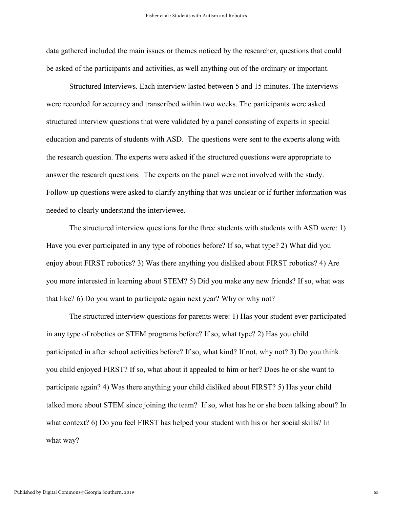data gathered included the main issues or themes noticed by the researcher, questions that could be asked of the participants and activities, as well anything out of the ordinary or important.

Structured Interviews. Each interview lasted between 5 and 15 minutes. The interviews were recorded for accuracy and transcribed within two weeks. The participants were asked structured interview questions that were validated by a panel consisting of experts in special education and parents of students with ASD. The questions were sent to the experts along with the research question. The experts were asked if the structured questions were appropriate to answer the research questions. The experts on the panel were not involved with the study. Follow-up questions were asked to clarify anything that was unclear or if further information was needed to clearly understand the interviewee.

The structured interview questions for the three students with students with ASD were: 1) Have you ever participated in any type of robotics before? If so, what type? 2) What did you enjoy about FIRST robotics? 3) Was there anything you disliked about FIRST robotics? 4) Are you more interested in learning about STEM? 5) Did you make any new friends? If so, what was that like? 6) Do you want to participate again next year? Why or why not?

The structured interview questions for parents were: 1) Has your student ever participated in any type of robotics or STEM programs before? If so, what type? 2) Has you child participated in after school activities before? If so, what kind? If not, why not? 3) Do you think you child enjoyed FIRST? If so, what about it appealed to him or her? Does he or she want to participate again? 4) Was there anything your child disliked about FIRST? 5) Has your child talked more about STEM since joining the team? If so, what has he or she been talking about? In what context? 6) Do you feel FIRST has helped your student with his or her social skills? In what way?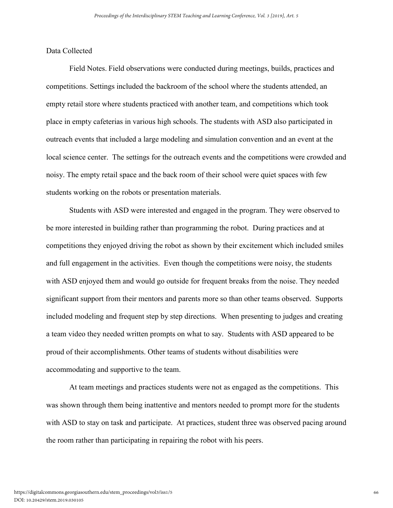## Data Collected

Field Notes. Field observations were conducted during meetings, builds, practices and competitions. Settings included the backroom of the school where the students attended, an empty retail store where students practiced with another team, and competitions which took place in empty cafeterias in various high schools. The students with ASD also participated in outreach events that included a large modeling and simulation convention and an event at the local science center. The settings for the outreach events and the competitions were crowded and noisy. The empty retail space and the back room of their school were quiet spaces with few students working on the robots or presentation materials.

Students with ASD were interested and engaged in the program. They were observed to be more interested in building rather than programming the robot. During practices and at competitions they enjoyed driving the robot as shown by their excitement which included smiles and full engagement in the activities. Even though the competitions were noisy, the students with ASD enjoyed them and would go outside for frequent breaks from the noise. They needed significant support from their mentors and parents more so than other teams observed. Supports included modeling and frequent step by step directions. When presenting to judges and creating a team video they needed written prompts on what to say. Students with ASD appeared to be proud of their accomplishments. Other teams of students without disabilities were accommodating and supportive to the team.

At team meetings and practices students were not as engaged as the competitions. This was shown through them being inattentive and mentors needed to prompt more for the students with ASD to stay on task and participate. At practices, student three was observed pacing around the room rather than participating in repairing the robot with his peers.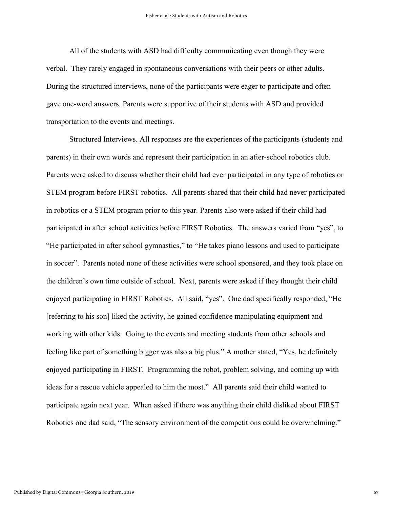All of the students with ASD had difficulty communicating even though they were verbal. They rarely engaged in spontaneous conversations with their peers or other adults. During the structured interviews, none of the participants were eager to participate and often gave one-word answers. Parents were supportive of their students with ASD and provided transportation to the events and meetings.

Structured Interviews. All responses are the experiences of the participants (students and parents) in their own words and represent their participation in an after-school robotics club. Parents were asked to discuss whether their child had ever participated in any type of robotics or STEM program before FIRST robotics. All parents shared that their child had never participated in robotics or a STEM program prior to this year. Parents also were asked if their child had participated in after school activities before FIRST Robotics. The answers varied from "yes", to "He participated in after school gymnastics," to "He takes piano lessons and used to participate in soccer". Parents noted none of these activities were school sponsored, and they took place on the children's own time outside of school. Next, parents were asked if they thought their child enjoyed participating in FIRST Robotics. All said, "yes". One dad specifically responded, "He [referring to his son] liked the activity, he gained confidence manipulating equipment and working with other kids. Going to the events and meeting students from other schools and feeling like part of something bigger was also a big plus." A mother stated, "Yes, he definitely enjoyed participating in FIRST. Programming the robot, problem solving, and coming up with ideas for a rescue vehicle appealed to him the most." All parents said their child wanted to participate again next year. When asked if there was anything their child disliked about FIRST Robotics one dad said, "The sensory environment of the competitions could be overwhelming."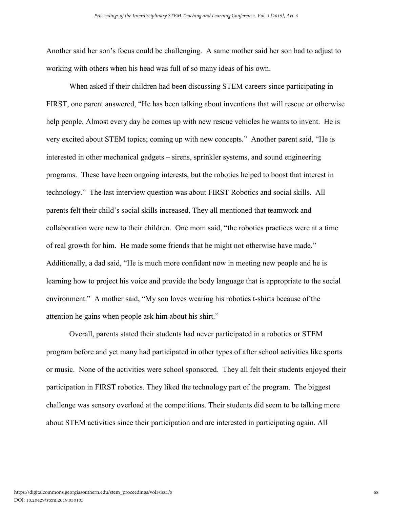Another said her son's focus could be challenging. A same mother said her son had to adjust to working with others when his head was full of so many ideas of his own.

When asked if their children had been discussing STEM careers since participating in FIRST, one parent answered, "He has been talking about inventions that will rescue or otherwise help people. Almost every day he comes up with new rescue vehicles he wants to invent. He is very excited about STEM topics; coming up with new concepts." Another parent said, "He is interested in other mechanical gadgets – sirens, sprinkler systems, and sound engineering programs. These have been ongoing interests, but the robotics helped to boost that interest in technology." The last interview question was about FIRST Robotics and social skills. All parents felt their child's social skills increased. They all mentioned that teamwork and collaboration were new to their children. One mom said, "the robotics practices were at a time of real growth for him. He made some friends that he might not otherwise have made." Additionally, a dad said, "He is much more confident now in meeting new people and he is learning how to project his voice and provide the body language that is appropriate to the social environment." A mother said, "My son loves wearing his robotics t-shirts because of the attention he gains when people ask him about his shirt."

Overall, parents stated their students had never participated in a robotics or STEM program before and yet many had participated in other types of after school activities like sports or music. None of the activities were school sponsored. They all felt their students enjoyed their participation in FIRST robotics. They liked the technology part of the program. The biggest challenge was sensory overload at the competitions. Their students did seem to be talking more about STEM activities since their participation and are interested in participating again. All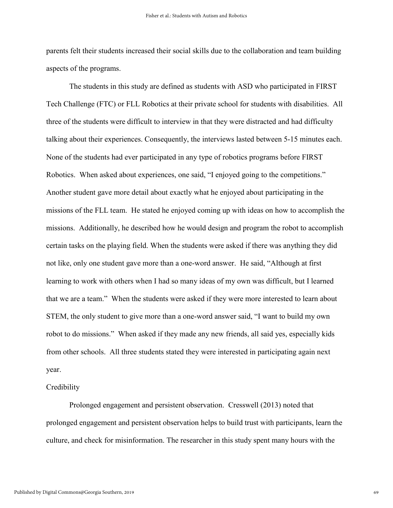parents felt their students increased their social skills due to the collaboration and team building aspects of the programs.

The students in this study are defined as students with ASD who participated in FIRST Tech Challenge (FTC) or FLL Robotics at their private school for students with disabilities. All three of the students were difficult to interview in that they were distracted and had difficulty talking about their experiences. Consequently, the interviews lasted between 5-15 minutes each. None of the students had ever participated in any type of robotics programs before FIRST Robotics. When asked about experiences, one said, "I enjoyed going to the competitions." Another student gave more detail about exactly what he enjoyed about participating in the missions of the FLL team. He stated he enjoyed coming up with ideas on how to accomplish the missions. Additionally, he described how he would design and program the robot to accomplish certain tasks on the playing field. When the students were asked if there was anything they did not like, only one student gave more than a one-word answer. He said, "Although at first learning to work with others when I had so many ideas of my own was difficult, but I learned that we are a team." When the students were asked if they were more interested to learn about STEM, the only student to give more than a one-word answer said, "I want to build my own robot to do missions." When asked if they made any new friends, all said yes, especially kids from other schools. All three students stated they were interested in participating again next year.

#### **Credibility**

Prolonged engagement and persistent observation. Cresswell (2013) noted that prolonged engagement and persistent observation helps to build trust with participants, learn the culture, and check for misinformation. The researcher in this study spent many hours with the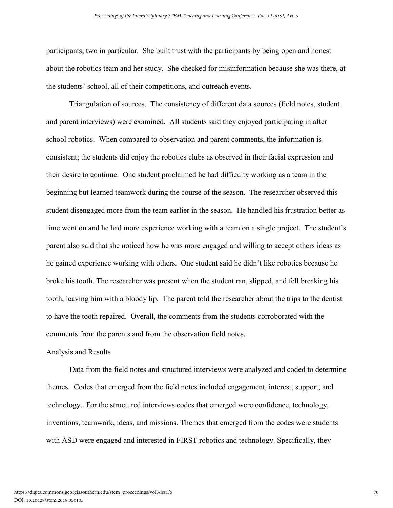participants, two in particular. She built trust with the participants by being open and honest about the robotics team and her study. She checked for misinformation because she was there, at the students' school, all of their competitions, and outreach events.

Triangulation of sources.The consistency of different data sources (field notes, student and parent interviews) were examined. All students said they enjoyed participating in after school robotics. When compared to observation and parent comments, the information is consistent; the students did enjoy the robotics clubs as observed in their facial expression and their desire to continue. One student proclaimed he had difficulty working as a team in the beginning but learned teamwork during the course of the season. The researcher observed this student disengaged more from the team earlier in the season. He handled his frustration better as time went on and he had more experience working with a team on a single project. The student's parent also said that she noticed how he was more engaged and willing to accept others ideas as he gained experience working with others. One student said he didn't like robotics because he broke his tooth. The researcher was present when the student ran, slipped, and fell breaking his tooth, leaving him with a bloody lip. The parent told the researcher about the trips to the dentist to have the tooth repaired. Overall, the comments from the students corroborated with the comments from the parents and from the observation field notes.

#### Analysis and Results

Data from the field notes and structured interviews were analyzed and coded to determine themes. Codes that emerged from the field notes included engagement, interest, support, and technology. For the structured interviews codes that emerged were confidence, technology, inventions, teamwork, ideas, and missions. Themes that emerged from the codes were students with ASD were engaged and interested in FIRST robotics and technology. Specifically, they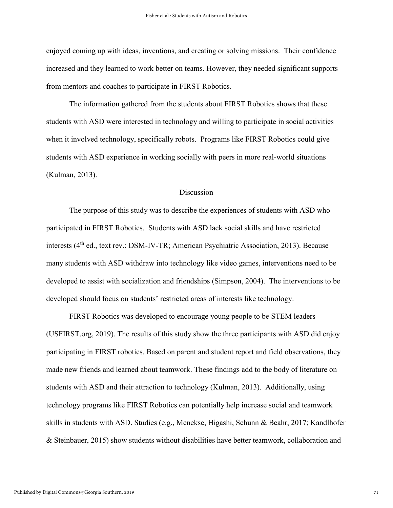enjoyed coming up with ideas, inventions, and creating or solving missions. Their confidence increased and they learned to work better on teams. However, they needed significant supports from mentors and coaches to participate in FIRST Robotics.

The information gathered from the students about FIRST Robotics shows that these students with ASD were interested in technology and willing to participate in social activities when it involved technology, specifically robots. Programs like FIRST Robotics could give students with ASD experience in working socially with peers in more real-world situations (Kulman, 2013).

# **Discussion**

The purpose of this study was to describe the experiences of students with ASD who participated in FIRST Robotics. Students with ASD lack social skills and have restricted interests (4<sup>th</sup> ed., text rev.: DSM-IV-TR; American Psychiatric Association, 2013). Because many students with ASD withdraw into technology like video games, interventions need to be developed to assist with socialization and friendships (Simpson, 2004). The interventions to be developed should focus on students' restricted areas of interests like technology.

FIRST Robotics was developed to encourage young people to be STEM leaders (USFIRST.org, 2019). The results of this study show the three participants with ASD did enjoy participating in FIRST robotics. Based on parent and student report and field observations, they made new friends and learned about teamwork. These findings add to the body of literature on students with ASD and their attraction to technology (Kulman, 2013). Additionally, using technology programs like FIRST Robotics can potentially help increase social and teamwork skills in students with ASD. Studies (e.g., Menekse, Higashi, Schunn & Beahr, 2017; Kandlhofer & Steinbauer, 2015) show students without disabilities have better teamwork, collaboration and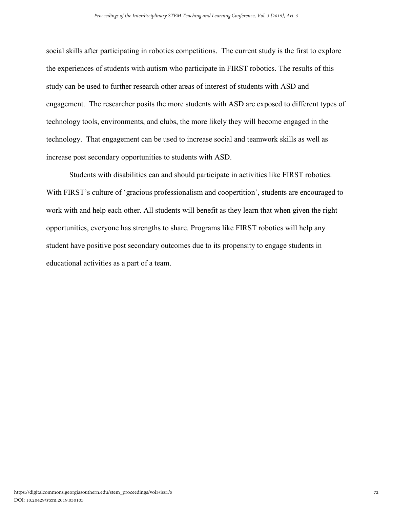social skills after participating in robotics competitions. The current study is the first to explore the experiences of students with autism who participate in FIRST robotics. The results of this study can be used to further research other areas of interest of students with ASD and engagement. The researcher posits the more students with ASD are exposed to different types of technology tools, environments, and clubs, the more likely they will become engaged in the technology. That engagement can be used to increase social and teamwork skills as well as increase post secondary opportunities to students with ASD.

Students with disabilities can and should participate in activities like FIRST robotics. With FIRST's culture of 'gracious professionalism and coopertition', students are encouraged to work with and help each other. All students will benefit as they learn that when given the right opportunities, everyone has strengths to share. Programs like FIRST robotics will help any student have positive post secondary outcomes due to its propensity to engage students in educational activities as a part of a team.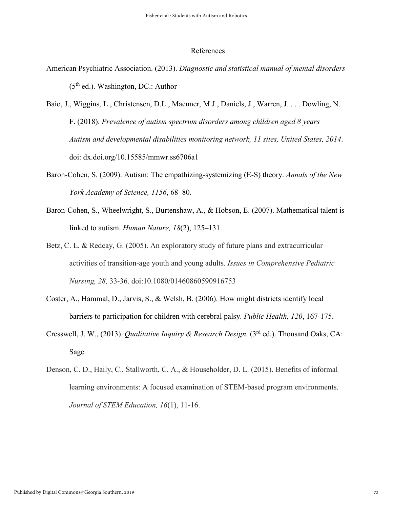#### References

- American Psychiatric Association. (2013). *Diagnostic and statistical manual of mental disorders* (5<sup>th</sup> ed.). Washington, DC.: Author
- Baio, J., Wiggins, L., Christensen, D.L., Maenner, M.J., Daniels, J., Warren, J. . . . Dowling, N. F. (2018). *Prevalence of autism spectrum disorders among children aged 8 years – Autism and developmental disabilities monitoring network, 11 sites, United States, 2014*. doi: dx.doi.org/10.15585/mmwr.ss6706a1
- Baron-Cohen, S. (2009). Autism: The empathizing-systemizing (E-S) theory. *Annals of the New York Academy of Science, 1156*, 68–80.
- Baron-Cohen, S., Wheelwright, S., Burtenshaw, A., & Hobson, E. (2007). Mathematical talent is linked to autism. *Human Nature, 18*(2), 125–131.
- Betz, C. L. & Redcay, G. (2005). An exploratory study of future plans and extracurricular activities of transition-age youth and young adults. *Issues in Comprehensive Pediatric Nursing, 28,* 33-36. doi:10.1080/01460860590916753
- Coster, A., Hammal, D., Jarvis, S., & Welsh, B. (2006). How might districts identify local barriers to participation for children with cerebral palsy*. Public Health, 120*, 167-175.
- Cresswell, J. W., (2013). *Qualitative Inquiry & Research Design.* (3<sup>rd</sup> ed.). Thousand Oaks, CA: Sage.
- Denson, C. D., Haily, C., Stallworth, C. A., & Householder, D. L. (2015). Benefits of informal learning environments: A focused examination of STEM-based program environments. *Journal of STEM Education, 16*(1), 11-16.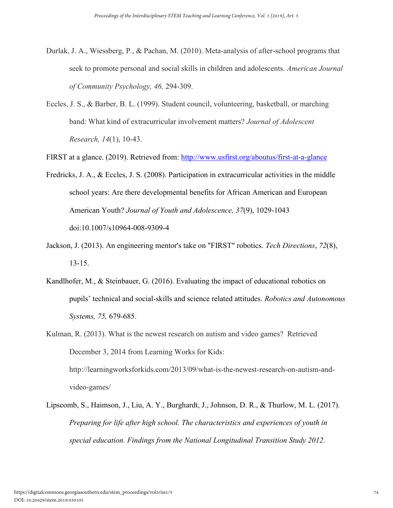- Durlak, J. A., Wiessberg, P., & Pachan, M. (2010). Meta-analysis of after-school programs that seek to promote personal and social skills in children and adolescents. *American Journal of Community Psychology, 46,* 294-309.
- Eccles, J. S., & Barber, B. L. (1999). Student council, volunteering, basketball, or marching band: What kind of extracurricular involvement matters? *Journal of Adolescent Research, 14*(1), 10-43.

FIRST at a glance. (2019). Retrieved from:<http://www.usfirst.org/aboutus/first-at-a-glance>

- Fredricks, J. A., & Eccles, J. S. (2008). Participation in extracurricular activities in the middle school years: Are there developmental benefits for African American and European American Youth? *Journal of Youth and Adolescence, 37*(9), 1029-1043 doi:10.1007/s10964-008-9309-4
- Jackson, J. (2013). An engineering mentor's take on "FIRST" robotics. *Tech Directions*, *72*(8), 13-15.
- Kandlhofer, M., & Steinbauer, G. (2016). Evaluating the impact of educational robotics on pupils' technical and social-skills and science related attitudes. *Robotics and Autonomous Systems, 75,* 679-685.
- Kulman, R. (2013). What is the newest research on autism and video games? Retrieved December 3, 2014 from Learning Works for Kids: http://learningworksforkids.com/2013/09/what-is-the-newest-research-on-autism-andvideo-games/
- Lipscomb, S., Haimson, J., Liu, A. Y., Burghardt, J., Johnson, D. R., & Thurlow, M. L. (2017). *Preparing for life after high school. The characteristics and experiences of youth in special education. Findings from the National Longitudinal Transition Study 2012.*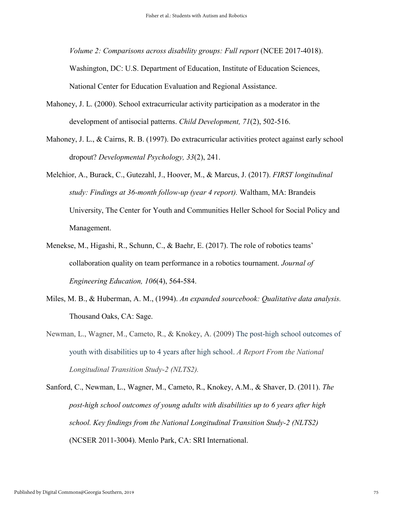*Volume 2: Comparisons across disability groups: Full report* (NCEE 2017-4018).

Washington, DC: U.S. Department of Education, Institute of Education Sciences, National Center for Education Evaluation and Regional Assistance.

- Mahoney, J. L. (2000). School extracurricular activity participation as a moderator in the development of antisocial patterns. *Child Development, 71*(2), 502-516.
- Mahoney, J. L., & Cairns, R. B. (1997). Do extracurricular activities protect against early school dropout? *Developmental Psychology, 33*(2), 241.
- Melchior, A., Burack, C., Gutezahl, J., Hoover, M., & Marcus, J. (2017). *FIRST longitudinal study: Findings at 36-month follow-up (year 4 report).* Waltham, MA: Brandeis University, The Center for Youth and Communities Heller School for Social Policy and Management.
- Menekse, M., Higashi, R., Schunn, C., & Baehr, E. (2017). The role of robotics teams' collaboration quality on team performance in a robotics tournament. *Journal of Engineering Education, 106*(4), 564-584.
- Miles, M. B., & Huberman, A. M., (1994). *An expanded sourcebook: Qualitative data analysis.* Thousand Oaks, CA: Sage.
- Newman, L., Wagner, M., Cameto, R., & Knokey, A. (2009) The post-high school outcomes of youth with disabilities up to 4 years after high school. *A Report From the National Longitudinal Transition Study-2 (NLTS2).*

Sanford, C., Newman, L., Wagner, M., Cameto, R., Knokey, A.M., & Shaver, D. (2011). *The post-high school outcomes of young adults with disabilities up to 6 years after high school. Key findings from the National Longitudinal Transition Study-2 (NLTS2)* (NCSER 2011-3004). Menlo Park, CA: SRI International.